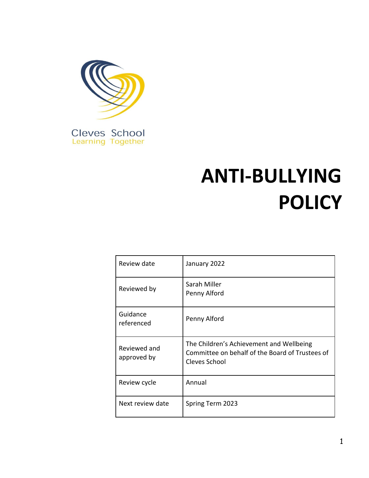

**ANTI-BULLYING POLICY**

| Review date                 | January 2022                                                                                                 |
|-----------------------------|--------------------------------------------------------------------------------------------------------------|
| Reviewed by                 | Sarah Miller<br>Penny Alford                                                                                 |
| Guidance<br>referenced      | Penny Alford                                                                                                 |
|                             |                                                                                                              |
| Reviewed and<br>approved by | The Children's Achievement and Wellbeing<br>Committee on behalf of the Board of Trustees of<br>Cleves School |
| Review cycle                | Annual                                                                                                       |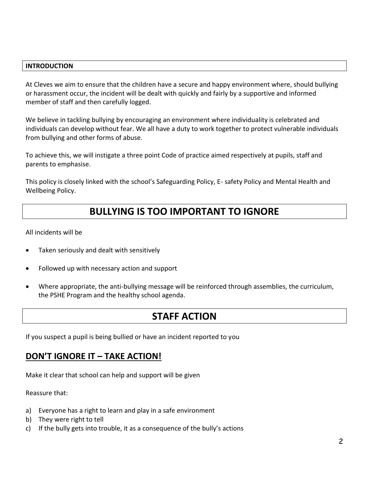### **INTRODUCTION**

At Cleves we aim to ensure that the children have a secure and happy environment where, should bullying or harassment occur, the incident will be dealt with quickly and fairly by a supportive and informed member of staff and then carefully logged.

We believe in tackling bullying by encouraging an environment where individuality is celebrated and individuals can develop without fear. We all have a duty to work together to protect vulnerable individuals from bullying and other forms of abuse.

To achieve this, we will instigate a three point Code of practice aimed respectively at pupils, staff and parents to emphasise.

This policy is closely linked with the school's Safeguarding Policy, E- safety Policy and Mental Health and Wellbeing Policy.

## **BULLYING IS TOO IMPORTANT TO IGNORE**

All incidents will be

- Taken seriously and dealt with sensitively
- Followed up with necessary action and support
- Where appropriate, the anti-bullying message will be reinforced through assemblies, the curriculum, the PSHE Program and the healthy school agenda.

## **STAFF ACTION**

If you suspect a pupil is being bullied or have an incident reported to you

### **DON'T IGNORE IT – TAKE ACTION!**

Make it clear that school can help and support will be given

Reassure that:

- a) Everyone has a right to learn and play in a safe environment
- b) They were right to tell
- c) If the bully gets into trouble, it as a consequence of the bully's actions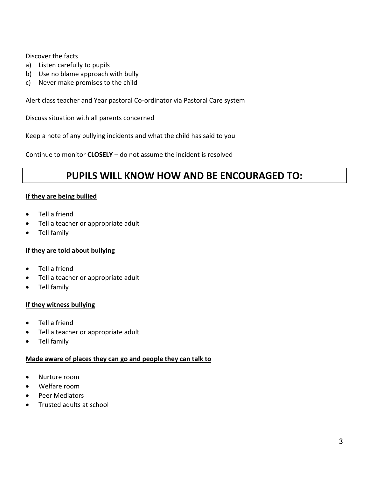Discover the facts

- a) Listen carefully to pupils
- b) Use no blame approach with bully
- c) Never make promises to the child

Alert class teacher and Year pastoral Co-ordinator via Pastoral Care system

Discuss situation with all parents concerned

Keep a note of any bullying incidents and what the child has said to you

Continue to monitor **CLOSELY** – do not assume the incident is resolved

### **PUPILS WILL KNOW HOW AND BE ENCOURAGED TO:**

### **If they are being bullied**

- Tell a friend
- Tell a teacher or appropriate adult
- Tell family

### **If they are told about bullying**

- Tell a friend
- Tell a teacher or appropriate adult
- Tell family

### **If they witness bullying**

- Tell a friend
- Tell a teacher or appropriate adult
- Tell family

### **Made aware of places they can go and people they can talk to**

- Nurture room
- Welfare room
- Peer Mediators
- Trusted adults at school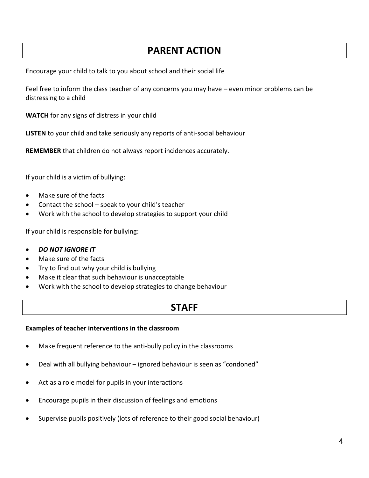## **PARENT ACTION**

Encourage your child to talk to you about school and their social life

Feel free to inform the class teacher of any concerns you may have – even minor problems can be distressing to a child

**WATCH** for any signs of distress in your child

**LISTEN** to your child and take seriously any reports of anti-social behaviour

**REMEMBER** that children do not always report incidences accurately.

If your child is a victim of bullying:

- Make sure of the facts
- Contact the school speak to your child's teacher
- Work with the school to develop strategies to support your child

If your child is responsible for bullying:

- *DO NOT IGNORE IT*
- Make sure of the facts
- Try to find out why your child is bullying
- Make it clear that such behaviour is unacceptable
- Work with the school to develop strategies to change behaviour

### **STAFF**

### **Examples of teacher interventions in the classroom**

- Make frequent reference to the anti-bully policy in the classrooms
- Deal with all bullying behaviour ignored behaviour is seen as "condoned"
- Act as a role model for pupils in your interactions
- Encourage pupils in their discussion of feelings and emotions
- Supervise pupils positively (lots of reference to their good social behaviour)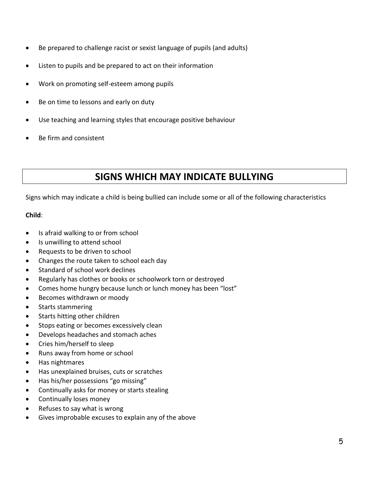- Be prepared to challenge racist or sexist language of pupils (and adults)
- Listen to pupils and be prepared to act on their information
- Work on promoting self-esteem among pupils
- Be on time to lessons and early on duty
- Use teaching and learning styles that encourage positive behaviour
- Be firm and consistent

# **SIGNS WHICH MAY INDICATE BULLYING**

Signs which may indicate a child is being bullied can include some or all of the following characteristics

### **Child**:

- Is afraid walking to or from school
- Is unwilling to attend school
- Requests to be driven to school
- Changes the route taken to school each day
- Standard of school work declines
- Regularly has clothes or books or schoolwork torn or destroyed
- Comes home hungry because lunch or lunch money has been "lost"
- Becomes withdrawn or moody
- Starts stammering
- Starts hitting other children
- Stops eating or becomes excessively clean
- Develops headaches and stomach aches
- Cries him/herself to sleep
- Runs away from home or school
- Has nightmares
- Has unexplained bruises, cuts or scratches
- Has his/her possessions "go missing"
- Continually asks for money or starts stealing
- Continually loses money
- Refuses to say what is wrong
- Gives improbable excuses to explain any of the above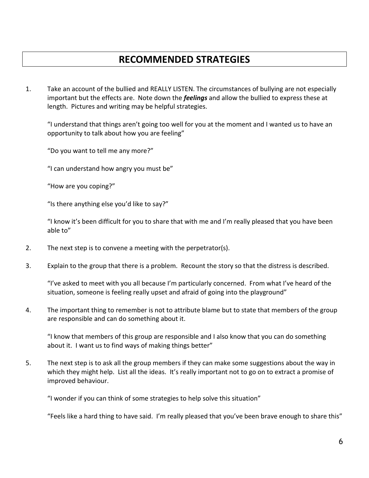## **RECOMMENDED STRATEGIES**

1. Take an account of the bullied and REALLY LISTEN. The circumstances of bullying are not especially important but the effects are. Note down the *feelings* and allow the bullied to express these at length. Pictures and writing may be helpful strategies.

"I understand that things aren't going too well for you at the moment and I wanted us to have an opportunity to talk about how you are feeling"

"Do you want to tell me any more?"

"I can understand how angry you must be"

"How are you coping?"

"Is there anything else you'd like to say?"

"I know it's been difficult for you to share that with me and I'm really pleased that you have been able to"

- 2. The next step is to convene a meeting with the perpetrator(s).
- 3. Explain to the group that there is a problem. Recount the story so that the distress is described.

"I've asked to meet with you all because I'm particularly concerned. From what I've heard of the situation, someone is feeling really upset and afraid of going into the playground"

4. The important thing to remember is not to attribute blame but to state that members of the group are responsible and can do something about it.

"I know that members of this group are responsible and I also know that you can do something about it. I want us to find ways of making things better"

5. The next step is to ask all the group members if they can make some suggestions about the way in which they might help. List all the ideas. It's really important not to go on to extract a promise of improved behaviour.

"I wonder if you can think of some strategies to help solve this situation"

"Feels like a hard thing to have said. I'm really pleased that you've been brave enough to share this"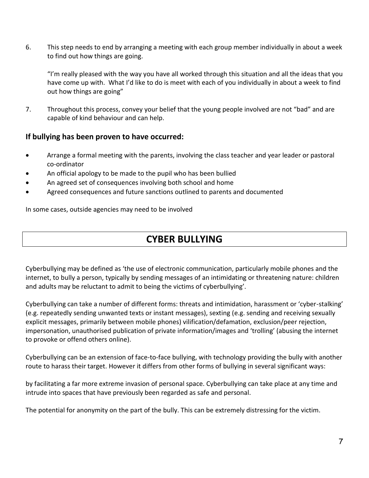6. This step needs to end by arranging a meeting with each group member individually in about a week to find out how things are going.

"I'm really pleased with the way you have all worked through this situation and all the ideas that you have come up with. What I'd like to do is meet with each of you individually in about a week to find out how things are going"

7. Throughout this process, convey your belief that the young people involved are not "bad" and are capable of kind behaviour and can help.

### **If bullying has been proven to have occurred:**

- Arrange a formal meeting with the parents, involving the class teacher and year leader or pastoral co-ordinator
- An official apology to be made to the pupil who has been bullied
- An agreed set of consequences involving both school and home
- Agreed consequences and future sanctions outlined to parents and documented

In some cases, outside agencies may need to be involved

## **CYBER BULLYING**

Cyberbullying may be defined as 'the use of electronic communication, particularly mobile phones and the internet, to bully a person, typically by sending messages of an intimidating or threatening nature: children and adults may be reluctant to admit to being the victims of cyberbullying'.

Cyberbullying can take a number of different forms: threats and intimidation, harassment or 'cyber-stalking' (e.g. repeatedly sending unwanted texts or instant messages), sexting (e.g. sending and receiving sexually explicit messages, primarily between mobile phones) vilification/defamation, exclusion/peer rejection, impersonation, unauthorised publication of private information/images and 'trolling' (abusing the internet to provoke or offend others online).

Cyberbullying can be an extension of face-to-face bullying, with technology providing the bully with another route to harass their target. However it differs from other forms of bullying in several significant ways:

by facilitating a far more extreme invasion of personal space. Cyberbullying can take place at any time and intrude into spaces that have previously been regarded as safe and personal.

The potential for anonymity on the part of the bully. This can be extremely distressing for the victim.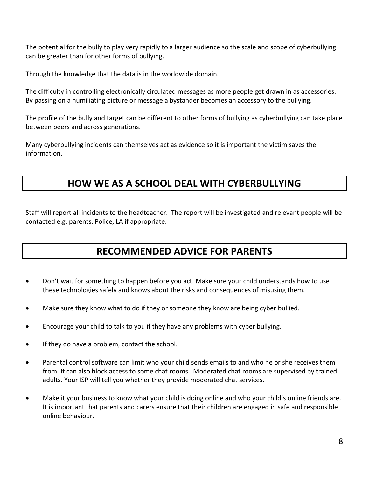The potential for the bully to play very rapidly to a larger audience so the scale and scope of cyberbullying can be greater than for other forms of bullying.

Through the knowledge that the data is in the worldwide domain.

The difficulty in controlling electronically circulated messages as more people get drawn in as accessories. By passing on a humiliating picture or message a bystander becomes an accessory to the bullying.

The profile of the bully and target can be different to other forms of bullying as cyberbullying can take place between peers and across generations.

Many cyberbullying incidents can themselves act as evidence so it is important the victim saves the information.

# **HOW WE AS A SCHOOL DEAL WITH CYBERBULLYING**

Staff will report all incidents to the headteacher. The report will be investigated and relevant people will be contacted e.g. parents, Police, LA if appropriate.

# **RECOMMENDED ADVICE FOR PARENTS**

- Don't wait for something to happen before you act. Make sure your child understands how to use these technologies safely and knows about the risks and consequences of misusing them.
- Make sure they know what to do if they or someone they know are being cyber bullied.
- Encourage your child to talk to you if they have any problems with cyber bullying.
- If they do have a problem, contact the school.
- Parental control software can limit who your child sends emails to and who he or she receives them from. It can also block access to some chat rooms. Moderated chat rooms are supervised by trained adults. Your ISP will tell you whether they provide moderated chat services.
- Make it your business to know what your child is doing online and who your child's online friends are. It is important that parents and carers ensure that their children are engaged in safe and responsible online behaviour.